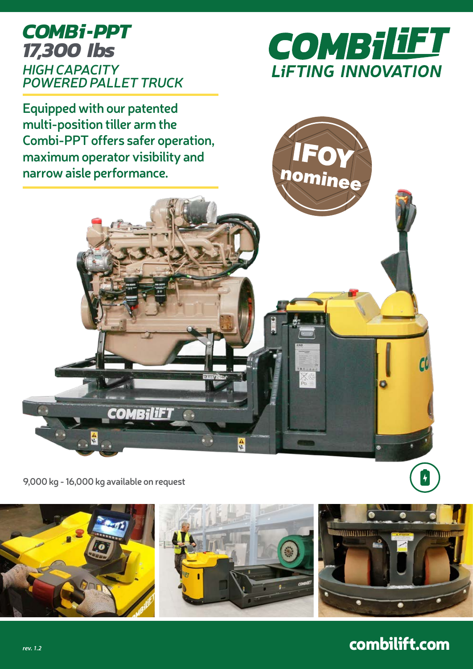## *COMBi-PPT HIGH CAPACITY POWERED PALLET TRUCK 17,300 Ibs*



nominee

**Equipped with our patented multi-position tiller arm the Combi-PPT offers safer operation, maximum operator visibility and narrow aisle performance.**

**9,000 kg - 16,000 kg available on request**

H

**COMBiliF1** 



自愿

# combilift.com

 $\left| \boldsymbol{\cdot} \right|$